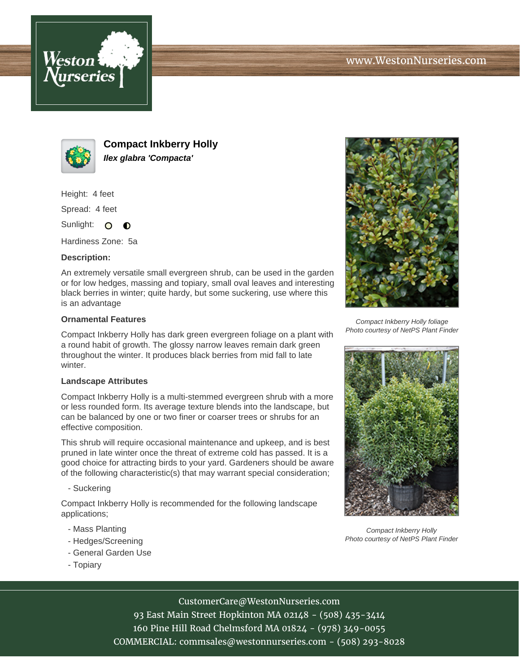



**Compact Inkberry Holly Ilex glabra 'Compacta'**

Height: 4 feet

Spread: 4 feet

Sunlight: O  $\bullet$ 

Hardiness Zone: 5a

## **Description:**

An extremely versatile small evergreen shrub, can be used in the garden or for low hedges, massing and topiary, small oval leaves and interesting black berries in winter; quite hardy, but some suckering, use where this is an advantage

## **Ornamental Features**

Compact Inkberry Holly has dark green evergreen foliage on a plant with a round habit of growth. The glossy narrow leaves remain dark green throughout the winter. It produces black berries from mid fall to late winter.

## **Landscape Attributes**

Compact Inkberry Holly is a multi-stemmed evergreen shrub with a more or less rounded form. Its average texture blends into the landscape, but can be balanced by one or two finer or coarser trees or shrubs for an effective composition.

This shrub will require occasional maintenance and upkeep, and is best pruned in late winter once the threat of extreme cold has passed. It is a good choice for attracting birds to your yard. Gardeners should be aware of the following characteristic(s) that may warrant special consideration;

# - Suckering

Compact Inkberry Holly is recommended for the following landscape applications;

- Mass Planting
- Hedges/Screening
- General Garden Use
- Topiary



Compact Inkberry Holly foliage Photo courtesy of NetPS Plant Finder



Compact Inkberry Holly Photo courtesy of NetPS Plant Finder

CustomerCare@WestonNurseries.com

93 East Main Street Hopkinton MA 02148 - (508) 435-3414 160 Pine Hill Road Chelmsford MA 01824 - (978) 349-0055 COMMERCIAL: commsales@westonnurseries.com - (508) 293-8028